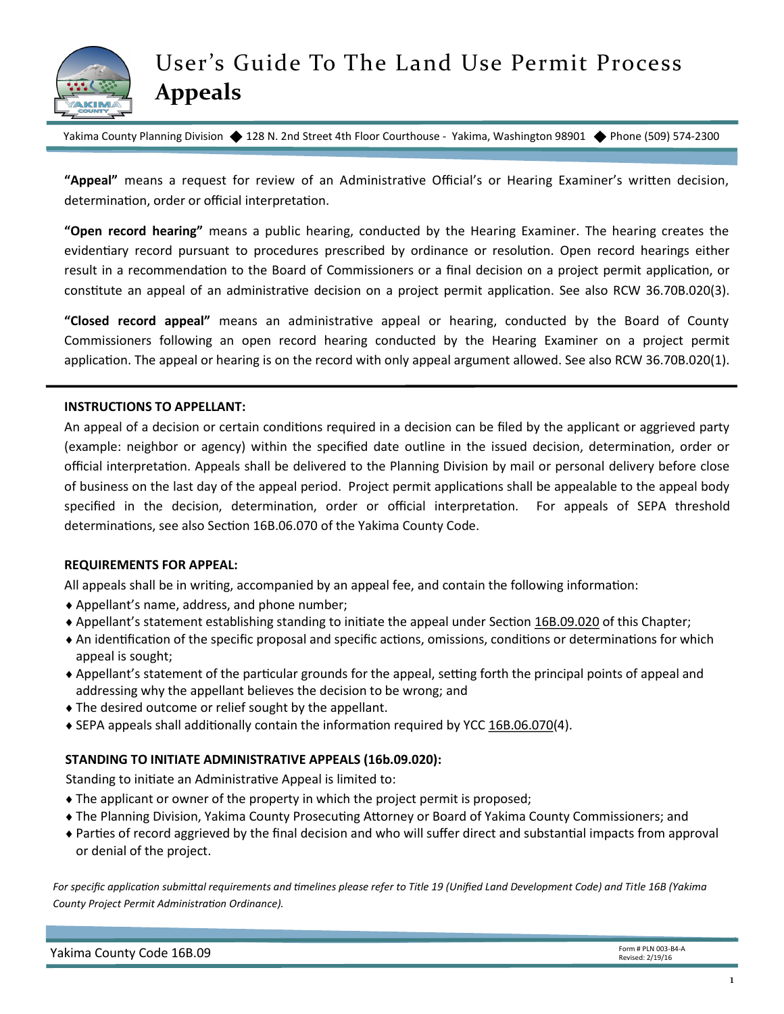

Yakima County Planning Division ♦ 128 N. 2nd Street 4th Floor Courthouse - Yakima, Washington 98901 ♦ Phone (509) 574-2300

**"Appeal"** means a request for review of an Administrative Official's or Hearing Examiner's written decision, determination, order or official interpretation.

**"Open record hearing"** means a public hearing, conducted by the Hearing Examiner. The hearing creates the evidentiary record pursuant to procedures prescribed by ordinance or resolution. Open record hearings either result in a recommendation to the Board of Commissioners or a final decision on a project permit application, or constitute an appeal of an administrative decision on a project permit application. See also RCW 36.70B.020(3).

**"Closed record appeal"** means an administrative appeal or hearing, conducted by the Board of County Commissioners following an open record hearing conducted by the Hearing Examiner on a project permit application. The appeal or hearing is on the record with only appeal argument allowed. See also RCW 36.70B.020(1).

#### **INSTRUCTIONS TO APPELLANT:**

An appeal of a decision or certain conditions required in a decision can be filed by the applicant or aggrieved party (example: neighbor or agency) within the specified date outline in the issued decision, determination, order or official interpretation. Appeals shall be delivered to the Planning Division by mail or personal delivery before close of business on the last day of the appeal period. Project permit applications shall be appealable to the appeal body specified in the decision, determination, order or official interpretation. For appeals of SEPA threshold determinations, see also Section 16B.06.070 of the Yakima County Code.

## **REQUIREMENTS FOR APPEAL:**

All appeals shall be in writing, accompanied by an appeal fee, and contain the following information:

- Appellant's name, address, and phone number;
- Appellant's statement establishing standing to initiate the appeal under Section [16B.09.020](http://www.codepublishing.com/WA/yakimacounty/html/YakimaCounty16B/YakimaCounty16B09.html#16B.09.020) of this Chapter;
- An identification of the specific proposal and specific actions, omissions, conditions or determinations for which appeal is sought;
- Appellant's statement of the particular grounds for the appeal, setting forth the principal points of appeal and addressing why the appellant believes the decision to be wrong; and
- The desired outcome or relief sought by the appellant.
- ◆ SEPA appeals shall additionally contain the information required by YCC [16B.06.070\(4](http://www.codepublishing.com/WA/yakimacounty/html/YakimaCounty16B/YakimaCounty16B06.html#16B.06.070)).

## **STANDING TO INITIATE ADMINISTRATIVE APPEALS (16b.09.020):**

Standing to initiate an Administrative Appeal is limited to:

- The applicant or owner of the property in which the project permit is proposed;
- The Planning Division, Yakima County Prosecuting Attorney or Board of Yakima County Commissioners; and
- Parties of record aggrieved by the final decision and who will suffer direct and substantial impacts from approval or denial of the project.

*For specific application submittal requirements and timelines please refer to Title 19 (Unified Land Development Code) and Title 16B (Yakima County Project Permit Administration Ordinance).*

| Yakima County Code 16B.09 | Form # PLN 003-B4-A<br>Revised: 2/19/16 |
|---------------------------|-----------------------------------------|